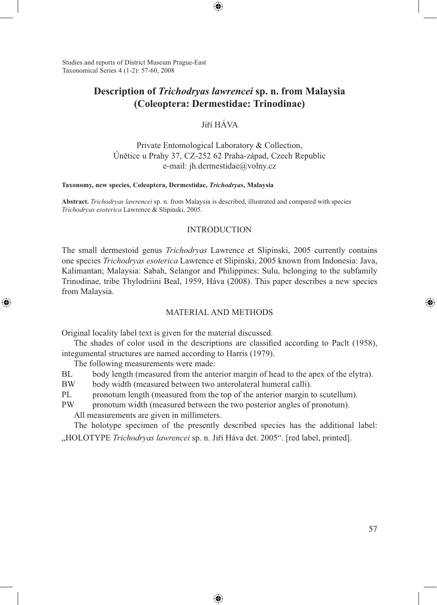Studies and reports of District Museum Prague-East Taxonomical Series 4 (1-2): 57-60, 2008

# **Description of** *Trichodryas lawrencei* **sp. n. from Malaysia (Coleoptera: Dermestidae: Trinodinae)**

⊕

Jiří HÁVA

Private Entomological Laboratory & Collection, Únětice u Prahy 37, CZ-252 62 Praha-západ, Czech Republic e-mail: jh.dermestidae@volny.cz

#### **Taxonomy, new species, Coleoptera, Dermestidae,** *Trichodryas***, Malaysia**

**Abstract.** *Trichodryas lawrencei* sp. n. from Malaysia is described, illustrated and compared with species *Trichodryas esoterica* Lawrence & Slipinski, 2005.

### INTRODUCTION

The small dermestoid genus *Trichodryas* Lawrence et Slipinski, 2005 currently contains one species *Trichodryas esoterica* Lawrence et Slipinski, 2005 known from Indonesia: Java, Kalimantan; Malaysia: Sabah, Selangor and Philippines: Sulu, belonging to the subfamily Trinodinae, tribe Thylodriini Beal, 1959, Háva (2008). This paper describes a new species from Malaysia.

### MATERIAL AND METHODS

Original locality label text is given for the material discussed.

The shades of color used in the descriptions are classified according to Paclt (1958), integumental structures are named according to Harris (1979).

The following measurements were made:

◈

BL body length (measured from the anterior margin of head to the apex of the elytra).

BW body width (measured between two anterolateral humeral calli).

PL pronotum length (measured from the top of the anterior margin to scutellum).

PW pronotum width (measured between the two posterior angles of pronotum).

All measurements are given in millimeters.

The holotype specimen of the presently described species has the additional label: "HOLOTYPE *Trichodryas lawrencei* sp. n. Jiří Háva det. 2005". [red label, printed].

⊕

⊕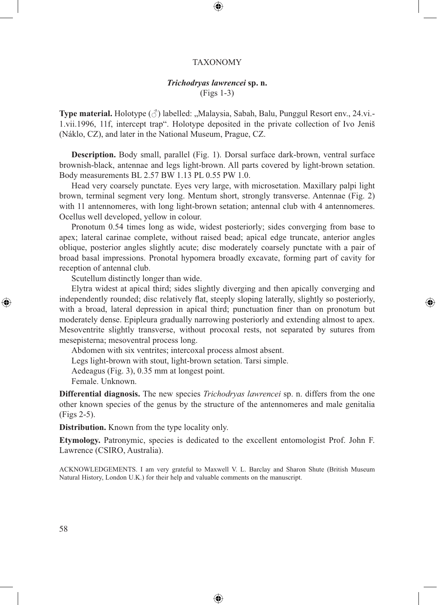### TAXONOMY

⊕

## *Trichodryas lawrencei* **sp. n.** (Figs 1-3)

**Type material.** Holotype ( $\Diamond$ ) labelled: .,Malaysia, Sabah, Balu, Punggul Resort env., 24.vi. 1.vii.1996, 11f, intercept trap". Holotype deposited in the private collection of Ivo Jeniš (Náklo, CZ), and later in the National Museum, Prague, CZ.

**Description.** Body small, parallel (Fig. 1). Dorsal surface dark-brown, ventral surface brownish-black, antennae and legs light-brown. All parts covered by light-brown setation. Body measurements BL 2.57 BW 1.13 PL 0.55 PW 1.0.

Head very coarsely punctate. Eyes very large, with microsetation. Maxillary palpi light brown, terminal segment very long. Mentum short, strongly transverse. Antennae (Fig. 2) with 11 antennomeres, with long light-brown setation; antennal club with 4 antennomeres. Ocellus well developed, yellow in colour.

Pronotum 0.54 times long as wide, widest posteriorly; sides converging from base to apex; lateral carinae complete, without raised bead; apical edge truncate, anterior angles oblique, posterior angles slightly acute; disc moderately coarsely punctate with a pair of broad basal impressions. Pronotal hypomera broadly excavate, forming part of cavity for reception of antennal club.

Scutellum distinctly longer than wide.

Elytra widest at apical third; sides slightly diverging and then apically converging and independently rounded; disc relatively flat, steeply sloping laterally, slightly so posteriorly, with a broad, lateral depression in apical third; punctuation finer than on pronotum but moderately dense. Epipleura gradually narrowing posteriorly and extending almost to apex. Mesoventrite slightly transverse, without procoxal rests, not separated by sutures from mesepisterna; mesoventral process long.

⊕

Abdomen with six ventrites; intercoxal process almost absent.

Legs light-brown with stout, light-brown setation. Tarsi simple.

Aedeagus (Fig. 3), 0.35 mm at longest point.

Female. Unknown.

**Differential diagnosis.** The new species *Trichodryas lawrencei* sp. n. differs from the one other known species of the genus by the structure of the antennomeres and male genitalia (Figs 2-5).

**Distribution.** Known from the type locality only.

**Etymology.** Patronymic, species is dedicated to the excellent entomologist Prof. John F. Lawrence (CSIRO, Australia).

ACKNOWLEDGEMENTS. I am very grateful to Maxwell V. L. Barclay and Sharon Shute (British Museum Natural History, London U.K.) for their help and valuable comments on the manuscript.

⊕

⊕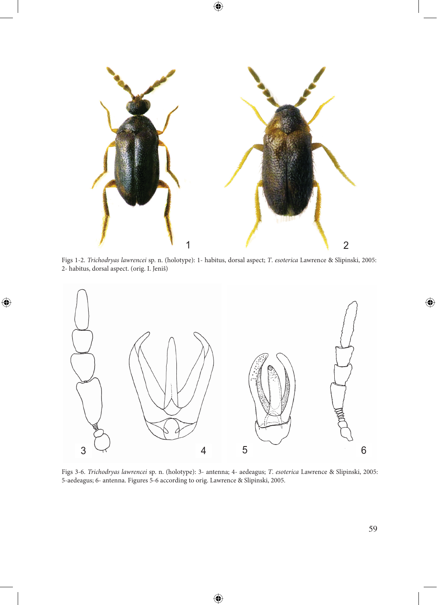

 $\bigoplus$ 

Figs 1-2. *Trichodryas lawrencei* sp. n. (holotype): 1- habitus, dorsal aspect; *T*. *esoterica* Lawrence & Slipinski, 2005: 2- habitus, dorsal aspect. (orig. I. Jeniš)

 $\bigoplus$ 



Figs 3-6. *Trichodryas lawrencei* sp. n. (holotype): 3- antenna; 4- aedeagus; *T*. *esoterica* Lawrence & Slipinski, 2005: 5-aedeagus; 6- antenna. Figures 5-6 according to orig. Lawrence & Slipinski, 2005.

€

 $\bigoplus$